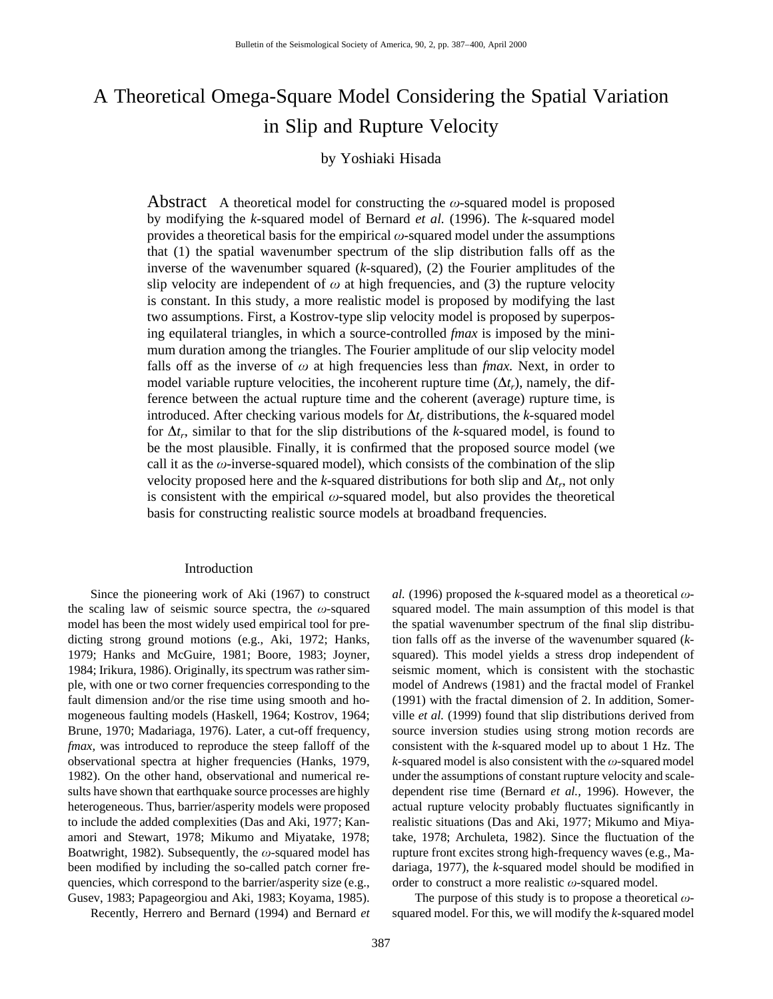# A Theoretical Omega-Square Model Considering the Spatial Variation in Slip and Rupture Velocity

## by Yoshiaki Hisada

Abstract A theoretical model for constructing the  $\omega$ -squared model is proposed by modifying the *k*-squared model of Bernard *et al.* (1996). The *k*-squared model provides a theoretical basis for the empirical  $\omega$ -squared model under the assumptions that (1) the spatial wavenumber spectrum of the slip distribution falls off as the inverse of the wavenumber squared (*k*-squared), (2) the Fourier amplitudes of the slip velocity are independent of  $\omega$  at high frequencies, and (3) the rupture velocity is constant. In this study, a more realistic model is proposed by modifying the last two assumptions. First, a Kostrov-type slip velocity model is proposed by superposing equilateral triangles, in which a source-controlled *fmax* is imposed by the minimum duration among the triangles. The Fourier amplitude of our slip velocity model falls off as the inverse of  $\omega$  at high frequencies less than *fmax*. Next, in order to model variable rupture velocities, the incoherent rupture time  $(\Delta t_r)$ , namely, the difference between the actual rupture time and the coherent (average) rupture time, is introduced. After checking various models for  $\Delta t$ , distributions, the *k*-squared model for  $\Delta t_r$ , similar to that for the slip distributions of the *k*-squared model, is found to be the most plausible. Finally, it is confirmed that the proposed source model (we call it as the  $\omega$ -inverse-squared model), which consists of the combination of the slip velocity proposed here and the *k*-squared distributions for both slip and  $\Delta t_r$ , not only is consistent with the empirical  $\omega$ -squared model, but also provides the theoretical basis for constructing realistic source models at broadband frequencies.

#### Introduction

Since the pioneering work of Aki (1967) to construct the scaling law of seismic source spectra, the  $\omega$ -squared model has been the most widely used empirical tool for predicting strong ground motions (e.g., Aki, 1972; Hanks, 1979; Hanks and McGuire, 1981; Boore, 1983; Joyner, 1984; Irikura, 1986). Originally, its spectrum was rather simple, with one or two corner frequencies corresponding to the fault dimension and/or the rise time using smooth and homogeneous faulting models (Haskell, 1964; Kostrov, 1964; Brune, 1970; Madariaga, 1976). Later, a cut-off frequency, *fmax,* was introduced to reproduce the steep falloff of the observational spectra at higher frequencies (Hanks, 1979, 1982). On the other hand, observational and numerical results have shown that earthquake source processes are highly heterogeneous. Thus, barrier/asperity models were proposed to include the added complexities (Das and Aki, 1977; Kanamori and Stewart, 1978; Mikumo and Miyatake, 1978; Boatwright, 1982). Subsequently, the  $\omega$ -squared model has been modified by including the so-called patch corner frequencies, which correspond to the barrier/asperity size (e.g., Gusev, 1983; Papageorgiou and Aki, 1983; Koyama, 1985).

Recently, Herrero and Bernard (1994) and Bernard *et*

*al.* (1996) proposed the *k*-squared model as a theoretical  $\omega$ squared model. The main assumption of this model is that the spatial wavenumber spectrum of the final slip distribution falls off as the inverse of the wavenumber squared (*k*squared). This model yields a stress drop independent of seismic moment, which is consistent with the stochastic model of Andrews (1981) and the fractal model of Frankel (1991) with the fractal dimension of 2. In addition, Somerville *et al.* (1999) found that slip distributions derived from source inversion studies using strong motion records are consistent with the *k*-squared model up to about 1 Hz. The  $k$ -squared model is also consistent with the  $\omega$ -squared model under the assumptions of constant rupture velocity and scaledependent rise time (Bernard *et al.,* 1996). However, the actual rupture velocity probably fluctuates significantly in realistic situations (Das and Aki, 1977; Mikumo and Miyatake, 1978; Archuleta, 1982). Since the fluctuation of the rupture front excites strong high-frequency waves (e.g., Madariaga, 1977), the *k*-squared model should be modified in order to construct a more realistic  $\omega$ -squared model.

The purpose of this study is to propose a theoretical  $\omega$ squared model. For this, we will modify the *k*-squared model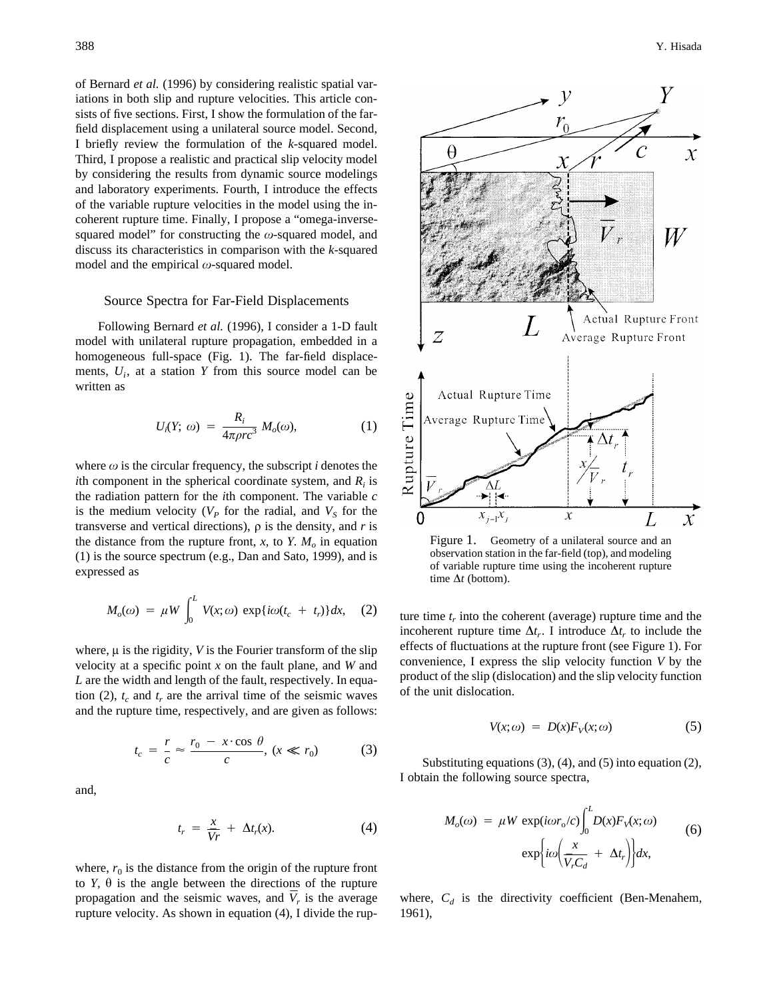of Bernard *et al.* (1996) by considering realistic spatial variations in both slip and rupture velocities. This article consists of five sections. First, I show the formulation of the farfield displacement using a unilateral source model. Second, I briefly review the formulation of the *k*-squared model. Third, I propose a realistic and practical slip velocity model by considering the results from dynamic source modelings and laboratory experiments. Fourth, I introduce the effects of the variable rupture velocities in the model using the incoherent rupture time. Finally, I propose a "omega-inversesquared model" for constructing the  $\omega$ -squared model, and discuss its characteristics in comparison with the *k*-squared model and the empirical  $\omega$ -squared model.

#### Source Spectra for Far-Field Displacements

Following Bernard *et al.* (1996), I consider a 1-D fault model with unilateral rupture propagation, embedded in a homogeneous full-space (Fig. 1). The far-field displacements,  $U_i$ , at a station  $Y$  from this source model can be written as

$$
U_i(Y; \omega) = \frac{R_i}{4\pi \rho r c^3} M_o(\omega), \qquad (1)
$$

where  $\omega$  is the circular frequency, the subscript *i* denotes the *i*th component in the spherical coordinate system, and  $R_i$  is the radiation pattern for the *i*th component. The variable *c* is the medium velocity  $(V_P)$  for the radial, and  $V_S$  for the transverse and vertical directions),  $\rho$  is the density, and  $r$  is the distance from the rupture front,  $x$ , to  $Y$ .  $M_0$  in equation (1) is the source spectrum (e.g., Dan and Sato, 1999), and is expressed as

$$
M_o(\omega) = \mu W \int_0^L V(x;\omega) \exp\{i\omega(t_c + t_r)\} dx, \quad (2)
$$

where,  $\mu$  is the rigidity,  $V$  is the Fourier transform of the slip velocity at a specific point *x* on the fault plane, and *W* and *L* are the width and length of the fault, respectively. In equation (2),  $t_c$  and  $t_r$  are the arrival time of the seismic waves and the rupture time, respectively, and are given as follows:

$$
t_c = \frac{r}{c} \approx \frac{r_0 - x \cdot \cos \theta}{c}, (x \ll r_0)
$$
 (3)

and,

$$
t_r = \frac{x}{\bar{V}r} + \Delta t_r(x). \tag{4}
$$

where,  $r_0$  is the distance from the origin of the rupture front to  $Y$ ,  $\theta$  is the angle between the directions of the rupture propagation and the seismic waves, and  $\overline{V}_r$  is the average rupture velocity. As shown in equation (4), I divide the rup-



Figure 1. Geometry of a unilateral source and an observation station in the far-field (top), and modeling of variable rupture time using the incoherent rupture time  $\Delta t$  (bottom).

ture time  $t_r$  into the coherent (average) rupture time and the incoherent rupture time  $\Delta t_r$ . I introduce  $\Delta t_r$  to include the effects of fluctuations at the rupture front (see Figure 1). For convenience, I express the slip velocity function *V* by the product of the slip (dislocation) and the slip velocity function of the unit dislocation.

$$
V(x; \omega) = D(x)F_V(x; \omega) \tag{5}
$$

Substituting equations (3), (4), and (5) into equation (2), I obtain the following source spectra,

$$
M_o(\omega) = \mu W \exp(i\omega r_o/c) \int_0^L D(x) F_V(x; \omega)
$$
  
 
$$
\exp\left\{ i\omega \left( \frac{x}{\bar{V}_r C_d} + \Delta t_r \right) \right\} dx,
$$
 (6)

where,  $C_d$  is the directivity coefficient (Ben-Menahem, 1961),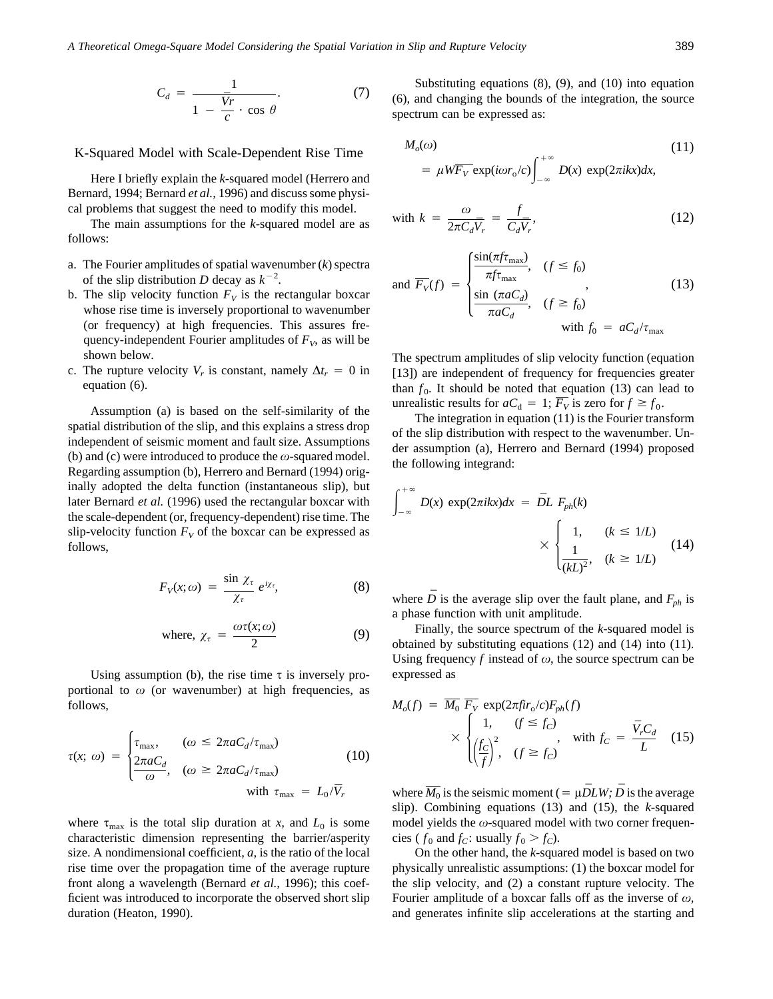*A Theoretical Omega-Square Model Considering the Spatial Variation in Slip and Rupture Velocity* 389

$$
C_d = \frac{1}{1 - \frac{\bar{V}r}{c} \cdot \cos \theta}.
$$
 (7)

#### K-Squared Model with Scale-Dependent Rise Time

Here I briefly explain the *k*-squared model (Herrero and Bernard, 1994; Bernard *et al.,* 1996) and discuss some physical problems that suggest the need to modify this model.

The main assumptions for the *k*-squared model are as follows:

- a. The Fourier amplitudes of spatial wavenumber (*k*) spectra of the slip distribution *D* decay as  $k^{-2}$ .
- b. The slip velocity function  $F_V$  is the rectangular boxcar whose rise time is inversely proportional to wavenumber (or frequency) at high frequencies. This assures frequency-independent Fourier amplitudes of  $F_V$ , as will be shown below.
- c. The rupture velocity  $V_r$  is constant, namely  $\Delta t_r = 0$  in equation (6).

Assumption (a) is based on the self-similarity of the spatial distribution of the slip, and this explains a stress drop independent of seismic moment and fault size. Assumptions (b) and (c) were introduced to produce the  $\omega$ -squared model. Regarding assumption (b), Herrero and Bernard (1994) originally adopted the delta function (instantaneous slip), but later Bernard *et al.* (1996) used the rectangular boxcar with the scale-dependent (or, frequency-dependent) rise time. The slip-velocity function  $F_V$  of the boxcar can be expressed as follows,

$$
F_V(x; \omega) = \frac{\sin \chi_{\tau}}{\chi_{\tau}} e^{i\chi_{\tau}}, \tag{8}
$$

where, 
$$
\chi_{\tau} = \frac{\omega \tau(x; \omega)}{2}
$$
 (9)

Using assumption (b), the rise time  $\tau$  is inversely proportional to  $\omega$  (or wavenumber) at high frequencies, as follows,

$$
\tau(x; \omega) = \begin{cases} \tau_{\text{max}}, & (\omega \le 2\pi a C_d / \tau_{\text{max}}) \\ \frac{2\pi a C_d}{\omega}, & (\omega \ge 2\pi a C_d / \tau_{\text{max}}) \\ \text{with } \tau_{\text{max}} = L_0 / \overline{V}_r \end{cases} \tag{10}
$$

where  $\tau_{\text{max}}$  is the total slip duration at *x*, and  $L_0$  is some characteristic dimension representing the barrier/asperity size. A nondimensional coefficient, *a,* is the ratio of the local rise time over the propagation time of the average rupture front along a wavelength (Bernard *et al.,* 1996); this coefficient was introduced to incorporate the observed short slip duration (Heaton, 1990).

Substituting equations (8), (9), and (10) into equation (6), and changing the bounds of the integration, the source spectrum can be expressed as:

$$
M_o(\omega) \tag{11}
$$

$$
= \mu W \overline{F_V} \exp(i \omega r_0/c) \int_{-\infty}^{+\infty} D(x) \exp(2\pi i k x) dx,
$$

with 
$$
k = \frac{\omega}{2\pi C_d \bar{V}_r} = \frac{f}{C_d \bar{V}_r}
$$
, (12)

and 
$$
\overline{F_V}(f) = \begin{cases} \frac{\sin(\pi f \tau_{\text{max}})}{\pi f \tau_{\text{max}}}, & (f \le f_0) \\ \frac{\sin(\pi a C_d)}{\pi a C_d}, & (f \ge f_0) \\ \end{cases}
$$
, (13)  
with  $f_0 = a C_d / \tau_{\text{max}}$ 

The spectrum amplitudes of slip velocity function (equation [13]) are independent of frequency for frequencies greater than  $f_0$ . It should be noted that equation (13) can lead to unrealistic results for  $aC_d = 1$ ;  $\overline{F_V}$  is zero for  $f \ge f_0$ .

The integration in equation (11) is the Fourier transform of the slip distribution with respect to the wavenumber. Under assumption (a), Herrero and Bernard (1994) proposed the following integrand:

$$
\int_{-\infty}^{+\infty} D(x) \exp(2\pi i k x) dx = \bar{D}L F_{ph}(k)
$$
  
 
$$
\times \begin{cases} 1, & (k \le 1/L) \\ \frac{1}{(kL)^2}, & (k \ge 1/L) \end{cases}
$$
(14)

where *D* is the average slip over the fault plane, and  $F_{ph}$  is a phase function with unit amplitude.

Finally, the source spectrum of the *k*-squared model is obtained by substituting equations (12) and (14) into (11). Using frequency  $f$  instead of  $\omega$ , the source spectrum can be expressed as

$$
M_o(f) = \overline{M_0} \overline{F_V} \exp(2\pi f i r_o/c) F_{ph}(f)
$$
  
 
$$
\times \begin{cases} 1, & (f \le f_c) \\ \left(\frac{f_c}{f}\right)^2, & (f \ge f_c) \end{cases}
$$
 with  $f_c = \frac{\overline{V}_r C_d}{L}$  (15)

where  $\overline{M_0}$  is the seismic moment (=  $\mu \overline{D} LW$ ;  $\overline{D}$  is the average slip). Combining equations (13) and (15), the *k*-squared model yields the  $\omega$ -squared model with two corner frequencies ( $f_0$  and  $f_C$ : usually  $f_0 > f_C$ ).

On the other hand, the *k*-squared model is based on two physically unrealistic assumptions: (1) the boxcar model for the slip velocity, and (2) a constant rupture velocity. The Fourier amplitude of a boxcar falls off as the inverse of  $\omega$ , and generates infinite slip accelerations at the starting and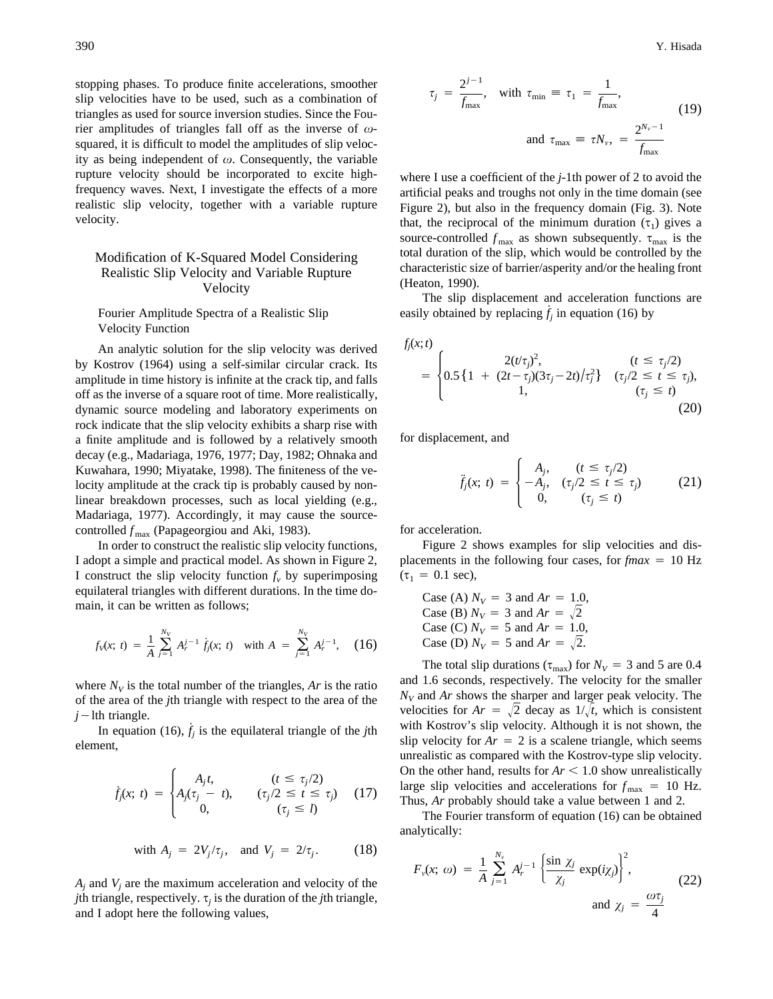stopping phases. To produce finite accelerations, smoother slip velocities have to be used, such as a combination of triangles as used for source inversion studies. Since the Fourier amplitudes of triangles fall off as the inverse of  $\omega$ squared, it is difficult to model the amplitudes of slip velocity as being independent of  $\omega$ . Consequently, the variable rupture velocity should be incorporated to excite highfrequency waves. Next, I investigate the effects of a more realistic slip velocity, together with a variable rupture velocity.

### Modification of K-Squared Model Considering Realistic Slip Velocity and Variable Rupture Velocity

Fourier Amplitude Spectra of a Realistic Slip Velocity Function

An analytic solution for the slip velocity was derived by Kostrov (1964) using a self-similar circular crack. Its amplitude in time history is infinite at the crack tip, and falls off as the inverse of a square root of time. More realistically, dynamic source modeling and laboratory experiments on rock indicate that the slip velocity exhibits a sharp rise with a finite amplitude and is followed by a relatively smooth decay (e.g., Madariaga, 1976, 1977; Day, 1982; Ohnaka and Kuwahara, 1990; Miyatake, 1998). The finiteness of the velocity amplitude at the crack tip is probably caused by nonlinear breakdown processes, such as local yielding (e.g., Madariaga, 1977). Accordingly, it may cause the sourcecontrolled  $f_{\text{max}}$  (Papageorgiou and Aki, 1983).

In order to construct the realistic slip velocity functions, I adopt a simple and practical model. As shown in Figure 2, I construct the slip velocity function  $f_v$  by superimposing equilateral triangles with different durations. In the time domain, it can be written as follows;

$$
f_V(x; t) = \frac{1}{A} \sum_{j=1}^{N_V} A_r^{j-1} \dot{f}_j(x; t) \quad \text{with } A = \sum_{j=1}^{N_V} A_r^{j-1}, \quad (16)
$$

where  $N_V$  is the total number of the triangles,  $Ar$  is the ratio of the area of the *j*th triangle with respect to the area of the  $j$ -lth triangle.

In equation (16),  $\dot{f}_j$  is the equilateral triangle of the *j*th element,

$$
\dot{f}_j(x; t) = \begin{cases} A_j t, & (t \leq \tau_j/2) \\ A_j(\tau_j - t), & (\tau_j/2 \leq t \leq \tau_j) \\ 0, & (\tau_j \leq l) \end{cases} \tag{17}
$$

with 
$$
A_j = 2V_j/\tau_j
$$
, and  $V_j = 2/\tau_j$ . (18)

 $A_i$  and  $V_i$  are the maximum acceleration and velocity of the *j*th triangle, respectively.  $\tau$ , is the duration of the *j*th triangle, and I adopt here the following values,

$$
\tau_j = \frac{2^{j-1}}{f_{\text{max}}}, \quad \text{with } \tau_{\text{min}} \equiv \tau_1 = \frac{1}{f_{\text{max}}},
$$
\n
$$
\text{and } \tau_{\text{max}} \equiv \tau N_{\nu}, = \frac{2^{N_{\nu}-1}}{f_{\text{max}}}
$$
\n(19)

where I use a coefficient of the *j*-1th power of 2 to avoid the artificial peaks and troughs not only in the time domain (see Figure 2), but also in the frequency domain (Fig. 3). Note that, the reciprocal of the minimum duration  $(\tau_1)$  gives a source-controlled  $f_{\text{max}}$  as shown subsequently.  $\tau_{\text{max}}$  is the total duration of the slip, which would be controlled by the characteristic size of barrier/asperity and/or the healing front (Heaton, 1990).

The slip displacement and acceleration functions are easily obtained by replacing  $\dot{f}_j$  in equation (16) by

$$
f_j(x;t) = \begin{cases} 2(t/\tau_j)^2, & (t \le \tau_j/2) \\ 0.5\left\{1 + \frac{2(t-\tau_j)(3\tau_j - 2t)}{\tau_j^2}\right\} & (\tau_j/2 \le t \le \tau_j), \\ 1, & (\tau_j \le t) \end{cases} \tag{20}
$$

for displacement, and

$$
\ddot{j}_j(x; t) = \begin{cases} A_j, & (t \le \tau_j/2) \\ -A_j, & (\tau_j/2 \le t \le \tau_j) \\ 0, & (\tau_j \le t) \end{cases} \tag{21}
$$

for acceleration.

Figure 2 shows examples for slip velocities and displacements in the following four cases, for  $fmax = 10$  Hz  $(\tau_1 = 0.1 \text{ sec})$ ,

Case (A)  $N_V = 3$  and  $Ar = 1.0$ , Case (B)  $N_V = 3$  and  $Ar = \sqrt{2}$ Case (C)  $N_V = 5$  and  $Ar = 1.0$ , Case (D)  $N_V = 5$  and  $Ar = \sqrt{2}$ .

The total slip durations ( $\tau_{\text{max}}$ ) for  $N_V = 3$  and 5 are 0.4 and 1.6 seconds, respectively. The velocity for the smaller  $N_V$  and  $Ar$  shows the sharper and larger peak velocity. The velocities for  $Ar = \sqrt{2}$  decay as  $1/\sqrt{t}$ , which is consistent with Kostrov's slip velocity. Although it is not shown, the slip velocity for  $Ar = 2$  is a scalene triangle, which seems unrealistic as compared with the Kostrov-type slip velocity. On the other hand, results for  $Ar < 1.0$  show unrealistically large slip velocities and accelerations for  $f_{\text{max}} = 10$  Hz. Thus, *Ar* probably should take a value between 1 and 2.

The Fourier transform of equation (16) can be obtained analytically:

$$
F_{\nu}(x; \omega) = \frac{1}{A} \sum_{j=1}^{N_{\nu}} A_{r}^{j-1} \left\{ \frac{\sin \chi_{j}}{\chi_{j}} \exp(i\chi_{j}) \right\}^{2},
$$
  
and  $\chi_{j} = \frac{\omega \tau_{j}}{4}$  (22)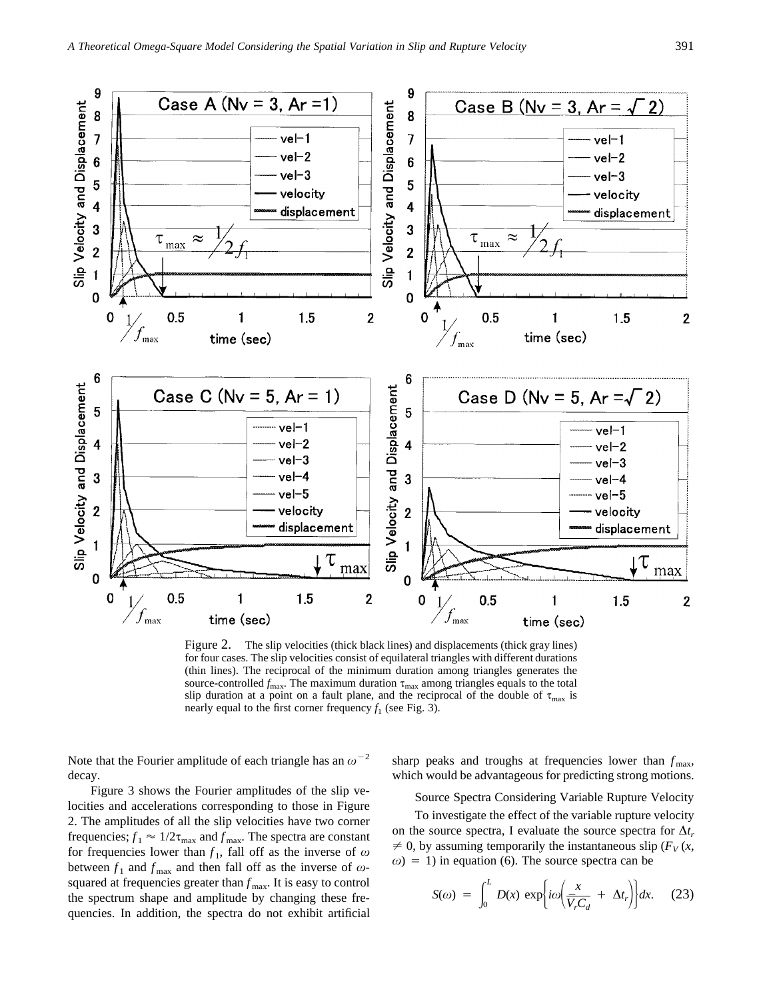

Figure 2. The slip velocities (thick black lines) and displacements (thick gray lines) for four cases. The slip velocities consist of equilateral triangles with different durations (thin lines). The reciprocal of the minimum duration among triangles generates the source-controlled  $f_{\text{max}}$ . The maximum duration  $\tau_{\text{max}}$  among triangles equals to the total slip duration at a point on a fault plane, and the reciprocal of the double of  $\tau_{\text{max}}$  is nearly equal to the first corner frequency  $f_1$  (see Fig. 3).

Note that the Fourier amplitude of each triangle has an  $\omega^{-2}$ decay.

Figure 3 shows the Fourier amplitudes of the slip velocities and accelerations corresponding to those in Figure 2. The amplitudes of all the slip velocities have two corner frequencies;  $f_1 \approx 1/2\tau_{\text{max}}$  and  $f_{\text{max}}$ . The spectra are constant for frequencies lower than  $f_1$ , fall off as the inverse of  $\omega$ between  $f_1$  and  $f_{\text{max}}$  and then fall off as the inverse of  $\omega$ squared at frequencies greater than  $f_{\text{max}}$ . It is easy to control the spectrum shape and amplitude by changing these frequencies. In addition, the spectra do not exhibit artificial

sharp peaks and troughs at frequencies lower than  $f_{\text{max}}$ , which would be advantageous for predicting strong motions.

Source Spectra Considering Variable Rupture Velocity

To investigate the effect of the variable rupture velocity on the source spectra, I evaluate the source spectra for  $\Delta t_r$  $\neq$  0, by assuming temporarily the instantaneous slip ( $F_V(x)$ ,  $\omega$ ) = 1) in equation (6). The source spectra can be

$$
S(\omega) = \int_0^L D(x) \exp\left\{ i\omega \left( \frac{x}{\bar{V}_r C_d} + \Delta t_r \right) \right\} dx. \quad (23)
$$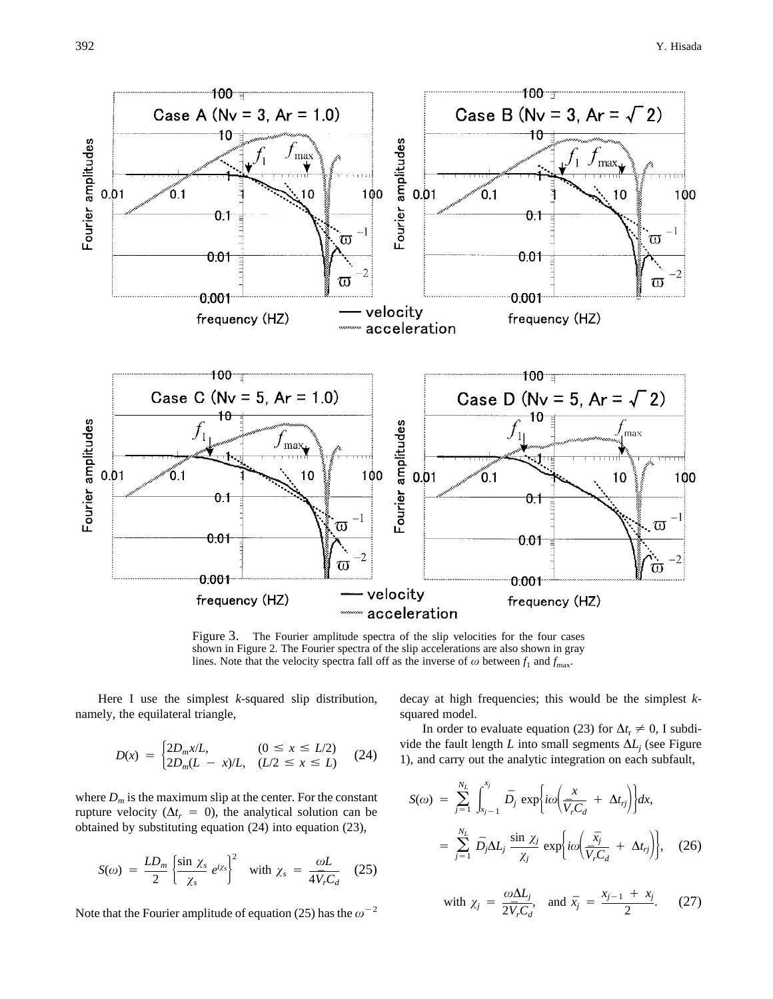

Figure 3. The Fourier amplitude spectra of the slip velocities for the four cases shown in Figure 2. The Fourier spectra of the slip accelerations are also shown in gray lines. Note that the velocity spectra fall off as the inverse of  $\omega$  between  $f_1$  and  $f_{\text{max}}$ .

Here I use the simplest *k*-squared slip distribution, namely, the equilateral triangle,

$$
D(x) = \begin{cases} 2D_m x/L, & (0 \le x \le L/2) \\ 2D_m(L - x)/L, & (L/2 \le x \le L) \end{cases}
$$
 (24)

where  $D_m$  is the maximum slip at the center. For the constant rupture velocity ( $\Delta t_r = 0$ ), the analytical solution can be obtained by substituting equation (24) into equation (23),

$$
S(\omega) = \frac{LD_m}{2} \left\{ \frac{\sin \chi_s}{\chi_s} e^{i\chi_s} \right\}^2 \quad \text{with } \chi_s = \frac{\omega L}{4 \bar{V}_r C_d} \quad (25)
$$

Note that the Fourier amplitude of equation (25) has the  $\omega^{-2}$ 

decay at high frequencies; this would be the simplest *k*squared model.

In order to evaluate equation (23) for  $\Delta t_r \neq 0$ , I subdivide the fault length *L* into small segments  $\Delta L_j$  (see Figure 1), and carry out the analytic integration on each subfault,

$$
S(\omega) = \sum_{j=1}^{N_L} \int_{x_{j-1}}^{x_j} \bar{D}_j \exp\{i\omega \left(\frac{x}{\bar{V}_r C_d} + \Delta t_{rj}\right)\} dx,
$$
  

$$
= \sum_{j=1}^{N_L} \bar{D}_j \Delta L_j \frac{\sin \chi_j}{\chi_j} \exp\{i\omega \left(\frac{\bar{x}_j}{\bar{V}_r C_d} + \Delta t_{rj}\right)\}, \quad (26)
$$

with 
$$
\chi_j = \frac{\omega \Delta L_j}{2 \bar{V}_r C_d}
$$
, and  $\bar{x}_j = \frac{x_{j-1} + x_j}{2}$ . (27)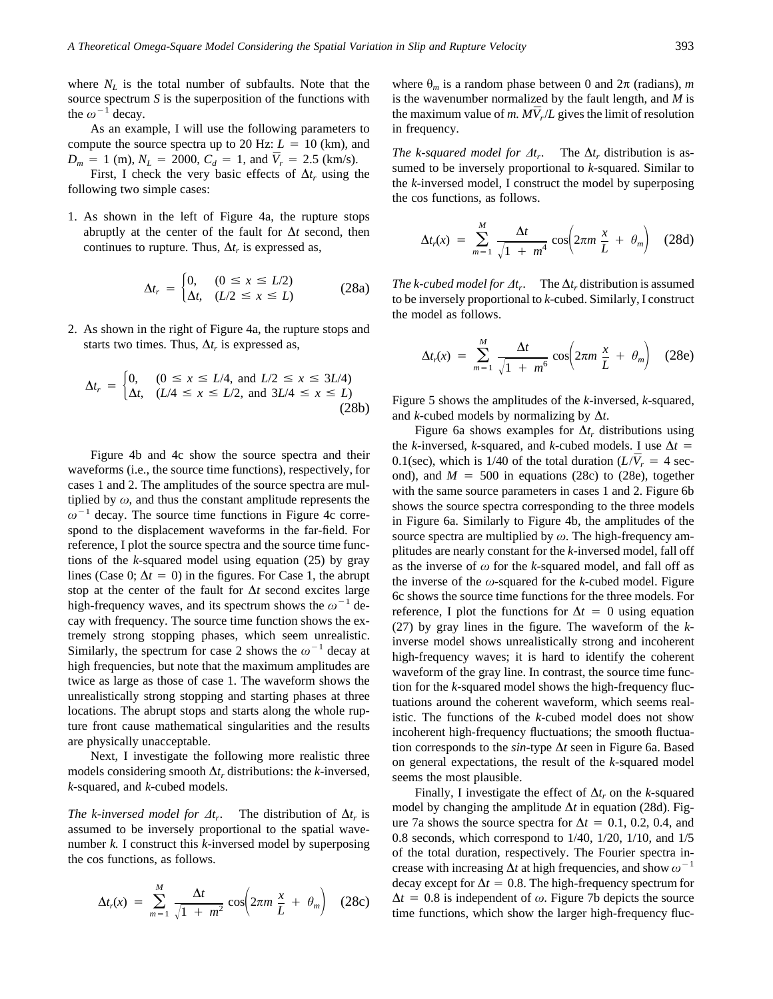where  $N_L$  is the total number of subfaults. Note that the source spectrum *S* is the superposition of the functions with the  $\omega^{-1}$  decay.

As an example, I will use the following parameters to compute the source spectra up to 20 Hz:  $L = 10$  (km), and  $D_m = 1$  (m),  $N_L = 2000$ ,  $C_d = 1$ , and  $\overline{V}_r = 2.5$  (km/s).

First, I check the very basic effects of  $\Delta t_r$  using the following two simple cases:

1. As shown in the left of Figure 4a, the rupture stops abruptly at the center of the fault for  $\Delta t$  second, then continues to rupture. Thus,  $\Delta t_r$  is expressed as,

$$
\Delta t_r = \begin{cases} 0, & (0 \le x \le L/2) \\ \Delta t, & (L/2 \le x \le L) \end{cases} \tag{28a}
$$

2. As shown in the right of Figure 4a, the rupture stops and starts two times. Thus,  $\Delta t_r$  is expressed as,

$$
\Delta t_r = \begin{cases} 0, & (0 \le x \le L/4, \text{ and } L/2 \le x \le 3L/4) \\ \Delta t, & (L/4 \le x \le L/2, \text{ and } 3L/4 \le x \le L) \end{cases} (28b)
$$

Figure 4b and 4c show the source spectra and their waveforms (i.e., the source time functions), respectively, for cases 1 and 2. The amplitudes of the source spectra are multiplied by  $\omega$ , and thus the constant amplitude represents the  $\omega^{-1}$  decay. The source time functions in Figure 4c correspond to the displacement waveforms in the far-field. For reference, I plot the source spectra and the source time functions of the *k*-squared model using equation (25) by gray lines (Case 0;  $\Delta t = 0$ ) in the figures. For Case 1, the abrupt stop at the center of the fault for  $\Delta t$  second excites large high-frequency waves, and its spectrum shows the  $\omega^{-1}$  decay with frequency. The source time function shows the extremely strong stopping phases, which seem unrealistic. Similarly, the spectrum for case 2 shows the  $\omega^{-1}$  decay at high frequencies, but note that the maximum amplitudes are twice as large as those of case 1. The waveform shows the unrealistically strong stopping and starting phases at three locations. The abrupt stops and starts along the whole rupture front cause mathematical singularities and the results are physically unacceptable.

Next, I investigate the following more realistic three models considering smooth  $\Delta t_r$  distributions: the *k*-inversed, *k*-squared, and *k*-cubed models.

*The k-inversed model for*  $\Delta t_r$ *.* The distribution of  $\Delta t_r$  is assumed to be inversely proportional to the spatial wavenumber *k.* I construct this *k*-inversed model by superposing the cos functions, as follows.

$$
\Delta t_r(x) = \sum_{m=1}^M \frac{\Delta t}{\sqrt{1 + m^2}} \cos \left( 2\pi m \frac{x}{L} + \theta_m \right) \quad (28c)
$$

where  $\theta_m$  is a random phase between 0 and  $2\pi$  (radians), *m* is the wavenumber normalized by the fault length, and *M* is the maximum value of *m.*  $MV_r/L$  gives the limit of resolution in frequency.

*The k-squared model for*  $\Delta t_r$ . The  $\Delta t_r$  distribution is assumed to be inversely proportional to *k*-squared. Similar to the *k*-inversed model, I construct the model by superposing the cos functions, as follows.

$$
\Delta t_r(x) = \sum_{m=1}^M \frac{\Delta t}{\sqrt{1 + m^4}} \cos \left( 2\pi m \frac{x}{L} + \theta_m \right) \quad (28d)
$$

*The k-cubed model for*  $\Delta t_r$ . The  $\Delta t_r$  distribution is assumed to be inversely proportional to *k*-cubed. Similarly, I construct the model as follows.

$$
\Delta t_r(x) = \sum_{m=1}^{M} \frac{\Delta t}{\sqrt{1 + m^6}} \cos \left( 2\pi m \frac{x}{L} + \theta_m \right) \quad (28e)
$$

Figure 5 shows the amplitudes of the *k*-inversed, *k*-squared, and *k*-cubed models by normalizing by  $\Delta t$ .

Figure 6a shows examples for  $\Delta t_r$  distributions using the *k*-inversed, *k*-squared, and *k*-cubed models. I use  $\Delta t =$ 0.1(sec), which is 1/40 of the total duration  $(L/\bar{V}_r = 4 \text{ sec}$ ond), and  $M = 500$  in equations (28c) to (28e), together with the same source parameters in cases 1 and 2. Figure 6b shows the source spectra corresponding to the three models in Figure 6a. Similarly to Figure 4b, the amplitudes of the source spectra are multiplied by  $\omega$ . The high-frequency amplitudes are nearly constant for the *k*-inversed model, fall off as the inverse of  $\omega$  for the *k*-squared model, and fall off as the inverse of the  $\omega$ -squared for the *k*-cubed model. Figure 6c shows the source time functions for the three models. For reference, I plot the functions for  $\Delta t = 0$  using equation (27) by gray lines in the figure. The waveform of the *k*inverse model shows unrealistically strong and incoherent high-frequency waves; it is hard to identify the coherent waveform of the gray line. In contrast, the source time function for the *k*-squared model shows the high-frequency fluctuations around the coherent waveform, which seems realistic. The functions of the *k*-cubed model does not show incoherent high-frequency fluctuations; the smooth fluctuation corresponds to the  $sin$ -type  $\Delta t$  seen in Figure 6a. Based on general expectations, the result of the *k*-squared model seems the most plausible.

Finally, I investigate the effect of  $\Delta t_r$  on the *k*-squared model by changing the amplitude  $\Delta t$  in equation (28d). Figure 7a shows the source spectra for  $\Delta t = 0.1, 0.2, 0.4,$  and 0.8 seconds, which correspond to 1/40, 1/20, 1/10, and 1/5 of the total duration, respectively. The Fourier spectra increase with increasing  $\Delta t$  at high frequencies, and show  $\omega^{-1}$ decay except for  $\Delta t = 0.8$ . The high-frequency spectrum for  $\Delta t = 0.8$  is independent of  $\omega$ . Figure 7b depicts the source time functions, which show the larger high-frequency fluc-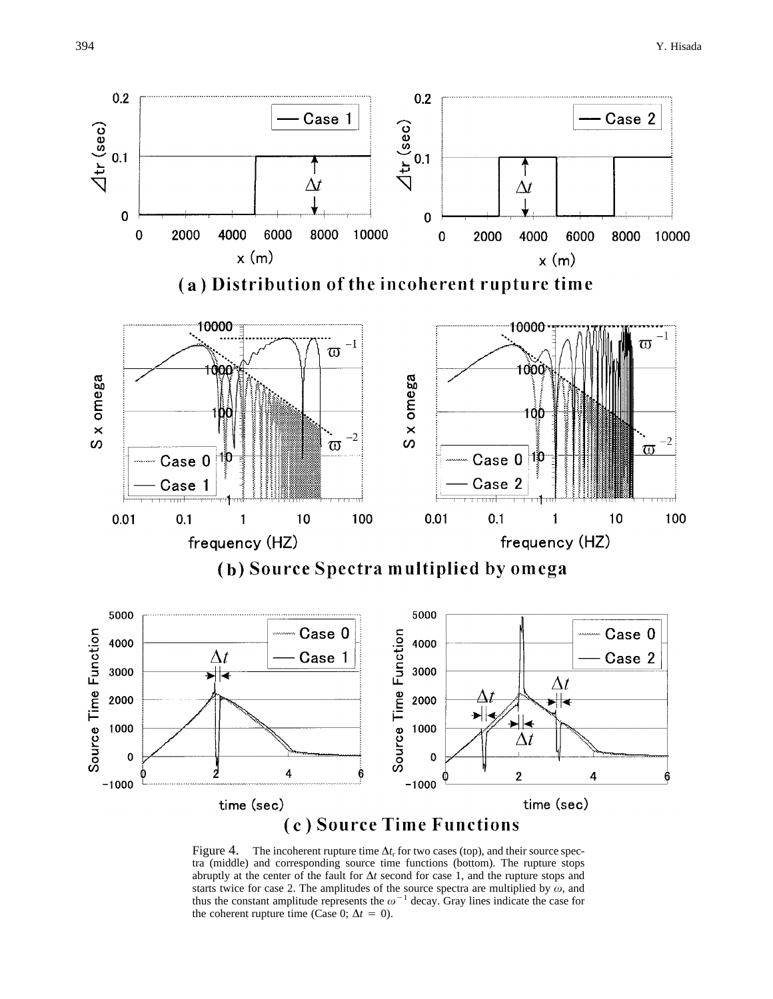

Figure 4. The incoherent rupture time  $\Delta t$ <sub>r</sub> for two cases (top), and their source spectra (middle) and corresponding source time functions (bottom). The rupture stops abruptly at the center of the fault for  $\Delta t$  second for case 1, and the rupture stops and starts twice for case 2. The amplitudes of the source spectra are multiplied by  $\omega$ , and thus the constant amplitude represents the  $\omega^{-1}$  decay. Gray lines indicate the case for the coherent rupture time (Case 0;  $\Delta t = 0$ ).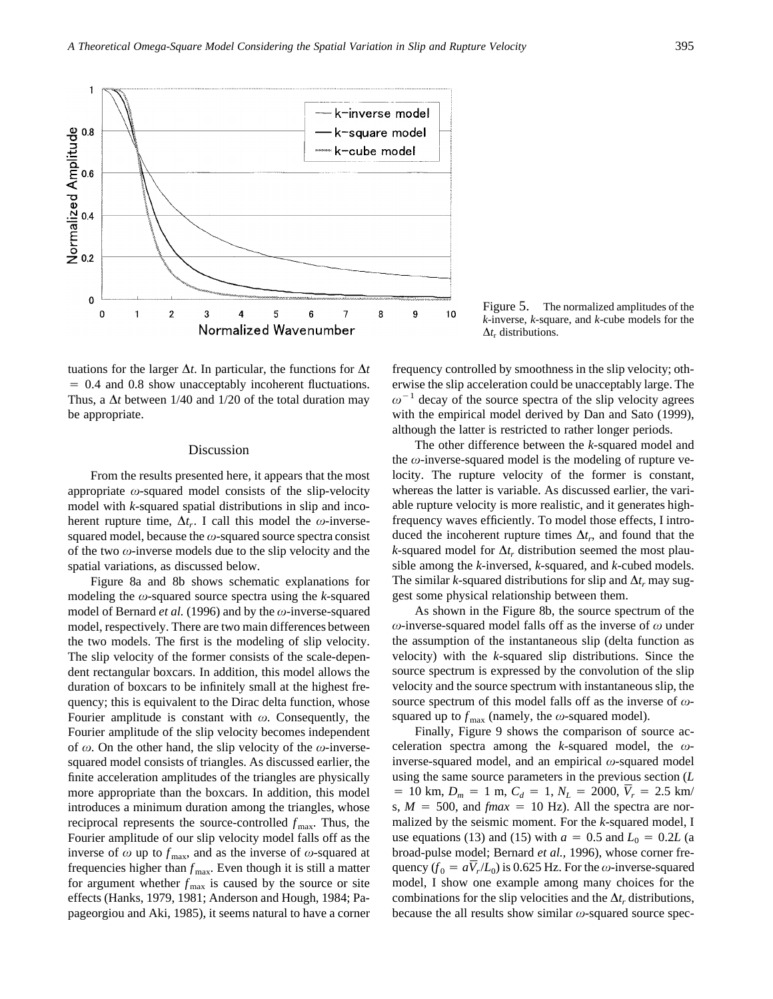

tuations for the larger  $\Delta t$ . In particular, the functions for  $\Delta t$  $= 0.4$  and 0.8 show unacceptably incoherent fluctuations. Thus, a  $\Delta t$  between 1/40 and 1/20 of the total duration may be appropriate.

#### Discussion

From the results presented here, it appears that the most appropriate  $\omega$ -squared model consists of the slip-velocity model with *k*-squared spatial distributions in slip and incoherent rupture time,  $\Delta t_r$ . I call this model the  $\omega$ -inversesquared model, because the  $\omega$ -squared source spectra consist of the two  $\omega$ -inverse models due to the slip velocity and the spatial variations, as discussed below.

Figure 8a and 8b shows schematic explanations for modeling the  $\omega$ -squared source spectra using the *k*-squared model of Bernard *et al.* (1996) and by the  $\omega$ -inverse-squared model, respectively. There are two main differences between the two models. The first is the modeling of slip velocity. The slip velocity of the former consists of the scale-dependent rectangular boxcars. In addition, this model allows the duration of boxcars to be infinitely small at the highest frequency; this is equivalent to the Dirac delta function, whose Fourier amplitude is constant with  $\omega$ . Consequently, the Fourier amplitude of the slip velocity becomes independent of  $\omega$ . On the other hand, the slip velocity of the  $\omega$ -inversesquared model consists of triangles. As discussed earlier, the finite acceleration amplitudes of the triangles are physically more appropriate than the boxcars. In addition, this model introduces a minimum duration among the triangles, whose reciprocal represents the source-controlled  $f_{\text{max}}$ . Thus, the Fourier amplitude of our slip velocity model falls off as the inverse of  $\omega$  up to  $f_{\text{max}}$ , and as the inverse of  $\omega$ -squared at frequencies higher than  $f_{\text{max}}$ . Even though it is still a matter for argument whether  $f_{\text{max}}$  is caused by the source or site effects (Hanks, 1979, 1981; Anderson and Hough, 1984; Papageorgiou and Aki, 1985), it seems natural to have a corner

Figure 5. The normalized amplitudes of the *k*-inverse, *k*-square, and *k*-cube models for the  $\Delta t_r$  distributions.

frequency controlled by smoothness in the slip velocity; otherwise the slip acceleration could be unacceptably large. The  $\omega^{-1}$  decay of the source spectra of the slip velocity agrees with the empirical model derived by Dan and Sato (1999), although the latter is restricted to rather longer periods.

The other difference between the *k*-squared model and the  $\omega$ -inverse-squared model is the modeling of rupture velocity. The rupture velocity of the former is constant, whereas the latter is variable. As discussed earlier, the variable rupture velocity is more realistic, and it generates highfrequency waves efficiently. To model those effects, I introduced the incoherent rupture times  $\Delta t_r$ , and found that the *k*-squared model for  $\Delta t_r$  distribution seemed the most plausible among the *k*-inversed, *k*-squared, and *k*-cubed models. The similar *k*-squared distributions for slip and  $\Delta t_r$  may suggest some physical relationship between them.

As shown in the Figure 8b, the source spectrum of the  $\omega$ -inverse-squared model falls off as the inverse of  $\omega$  under the assumption of the instantaneous slip (delta function as velocity) with the *k*-squared slip distributions. Since the source spectrum is expressed by the convolution of the slip velocity and the source spectrum with instantaneous slip, the source spectrum of this model falls off as the inverse of  $\omega$ squared up to  $f_{\text{max}}$  (namely, the  $\omega$ -squared model).

Finally, Figure 9 shows the comparison of source acceleration spectra among the *k*-squared model, the  $\omega$ inverse-squared model, and an empirical  $\omega$ -squared model using the same source parameters in the previous section (*L*  $= 10 \text{ km}, D_m = 1 \text{ m}, C_d = 1, N_L = 2000, \overline{V}_r = 2.5 \text{ km/s}$ s,  $M = 500$ , and *fmax* = 10 Hz). All the spectra are normalized by the seismic moment. For the *k*-squared model, I use equations (13) and (15) with  $a = 0.5$  and  $L_0 = 0.2L$  (a broad-pulse model; Bernard *et al.,* 1996), whose corner frequency  $(f_0 = a\overline{V}_r/L_0)$  is 0.625 Hz. For the  $\omega$ -inverse-squared model, I show one example among many choices for the combinations for the slip velocities and the  $\Delta t_r$  distributions, because the all results show similar  $\omega$ -squared source spec-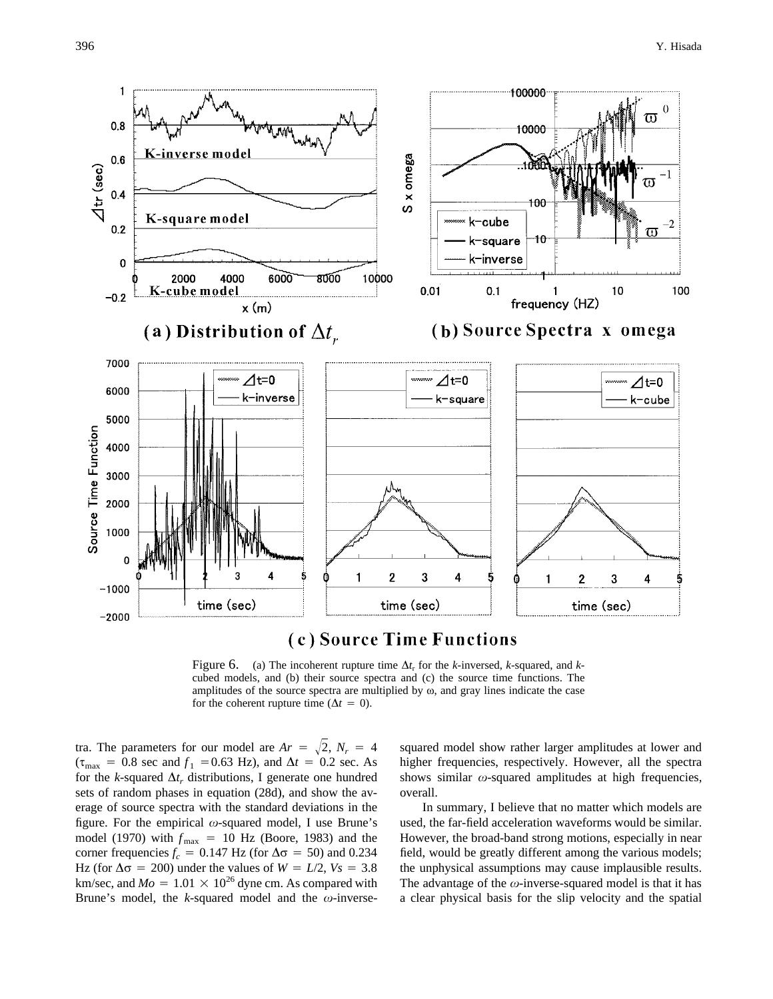

(c) Source Time Functions

Figure 6. (a) The incoherent rupture time  $\Delta t_r$  for the *k*-inversed, *k*-squared, and *k*cubed models, and (b) their source spectra and (c) the source time functions. The amplitudes of the source spectra are multiplied by  $\omega$ , and gray lines indicate the case for the coherent rupture time ( $\Delta t = 0$ ).

tra. The parameters for our model are  $Ar = \sqrt{2}$ ,  $N_r = 4$  $(\tau_{\text{max}} = 0.8 \text{ sec and } f_1 = 0.63 \text{ Hz})$ , and  $\Delta t = 0.2 \text{ sec.}$  As for the *k*-squared  $\Delta t_r$ , distributions, I generate one hundred sets of random phases in equation (28d), and show the average of source spectra with the standard deviations in the figure. For the empirical  $\omega$ -squared model, I use Brune's model (1970) with  $f_{\text{max}} = 10$  Hz (Boore, 1983) and the corner frequencies  $f_c = 0.147$  Hz (for  $\Delta \sigma = 50$ ) and 0.234 Hz (for  $\Delta \sigma$  = 200) under the values of *W* = *L*/2, *Vs* = 3.8 km/sec, and  $Mo = 1.01 \times 10^{26}$  dyne cm. As compared with Brune's model, the *k*-squared model and the  $\omega$ -inverse-

squared model show rather larger amplitudes at lower and higher frequencies, respectively. However, all the spectra shows similar  $\omega$ -squared amplitudes at high frequencies, overall.

In summary, I believe that no matter which models are used, the far-field acceleration waveforms would be similar. However, the broad-band strong motions, especially in near field, would be greatly different among the various models; the unphysical assumptions may cause implausible results. The advantage of the  $\omega$ -inverse-squared model is that it has a clear physical basis for the slip velocity and the spatial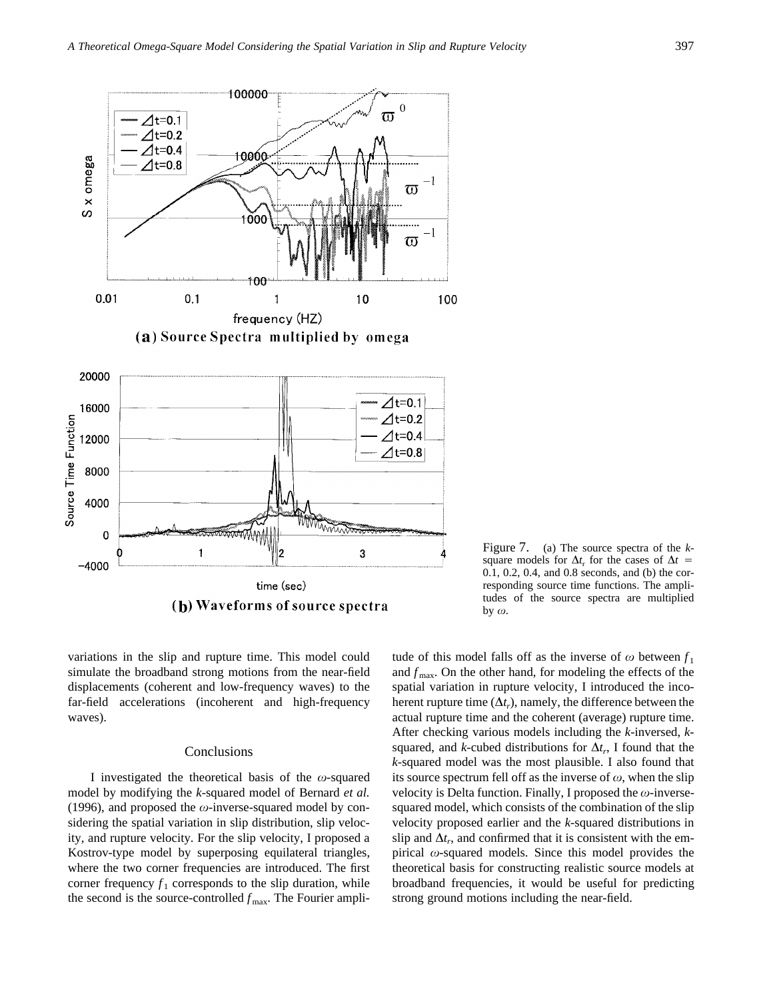

Figure 7. (a) The source spectra of the *k*square models for  $\Delta t$ <sub>r</sub> for the cases of  $\Delta t$  = 0.1, 0.2, 0.4, and 0.8 seconds, and (b) the corresponding source time functions. The amplitudes of the source spectra are multiplied by  $\omega$ .

variations in the slip and rupture time. This model could simulate the broadband strong motions from the near-field displacements (coherent and low-frequency waves) to the far-field accelerations (incoherent and high-frequency waves).

#### **Conclusions**

I investigated the theoretical basis of the  $\omega$ -squared model by modifying the *k*-squared model of Bernard *et al.* (1996), and proposed the  $\omega$ -inverse-squared model by considering the spatial variation in slip distribution, slip velocity, and rupture velocity. For the slip velocity, I proposed a Kostrov-type model by superposing equilateral triangles, where the two corner frequencies are introduced. The first corner frequency  $f_1$  corresponds to the slip duration, while the second is the source-controlled  $f_{\text{max}}$ . The Fourier amplitude of this model falls off as the inverse of  $\omega$  between  $f_1$ and  $f_{\text{max}}$ . On the other hand, for modeling the effects of the spatial variation in rupture velocity, I introduced the incoherent rupture time  $(\Delta t_r)$ , namely, the difference between the actual rupture time and the coherent (average) rupture time. After checking various models including the *k*-inversed, *k*squared, and *k*-cubed distributions for  $\Delta t_r$ , I found that the *k*-squared model was the most plausible. I also found that its source spectrum fell off as the inverse of  $\omega$ , when the slip velocity is Delta function. Finally, I proposed the  $\omega$ -inversesquared model, which consists of the combination of the slip velocity proposed earlier and the *k*-squared distributions in slip and  $\Delta t_r$ , and confirmed that it is consistent with the empirical  $\omega$ -squared models. Since this model provides the theoretical basis for constructing realistic source models at broadband frequencies, it would be useful for predicting strong ground motions including the near-field.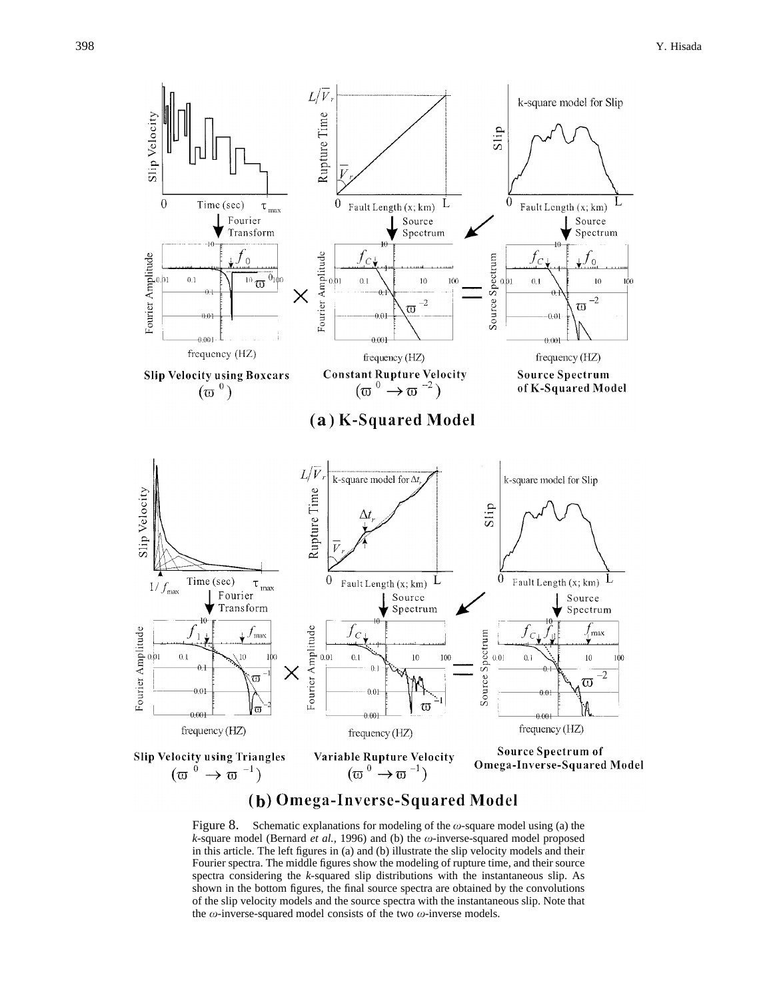

# (b) Omega-Inverse-Squared Model

Figure 8. Schematic explanations for modeling of the  $\omega$ -square model using (a) the  $k$ -square model (Bernard *et al.*, 1996) and (b) the  $\omega$ -inverse-squared model proposed in this article. The left figures in (a) and (b) illustrate the slip velocity models and their Fourier spectra. The middle figures show the modeling of rupture time, and their source spectra considering the *k*-squared slip distributions with the instantaneous slip. As shown in the bottom figures, the final source spectra are obtained by the convolutions of the slip velocity models and the source spectra with the instantaneous slip. Note that the  $\omega$ -inverse-squared model consists of the two  $\omega$ -inverse models.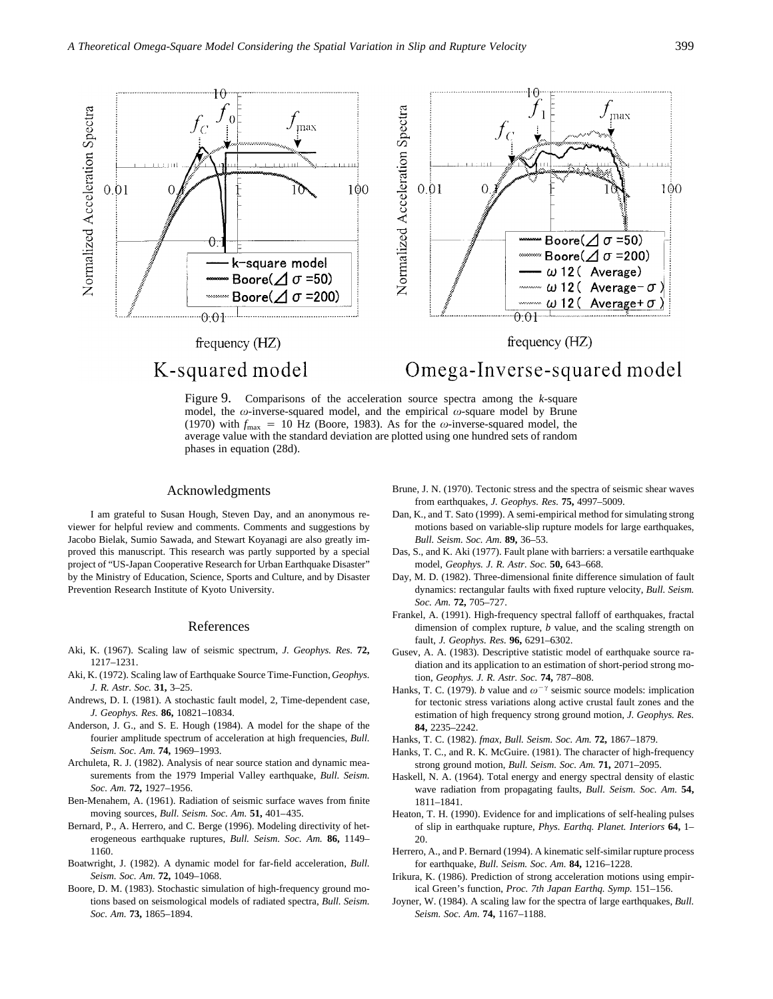

Figure 9. Comparisons of the acceleration source spectra among the *k*-square model, the  $\omega$ -inverse-squared model, and the empirical  $\omega$ -square model by Brune (1970) with  $f_{\text{max}} = 10$  Hz (Boore, 1983). As for the  $\omega$ -inverse-squared model, the average value with the standard deviation are plotted using one hundred sets of random phases in equation (28d).

#### Acknowledgments

I am grateful to Susan Hough, Steven Day, and an anonymous reviewer for helpful review and comments. Comments and suggestions by Jacobo Bielak, Sumio Sawada, and Stewart Koyanagi are also greatly improved this manuscript. This research was partly supported by a special project of "US-Japan Cooperative Research for Urban Earthquake Disaster" by the Ministry of Education, Science, Sports and Culture, and by Disaster Prevention Research Institute of Kyoto University.

#### References

- Aki, K. (1967). Scaling law of seismic spectrum, *J. Geophys. Res.* **72,** 1217–1231.
- Aki, K. (1972). Scaling law of Earthquake Source Time-Function, *Geophys. J. R. Astr. Soc.* **31,** 3–25.
- Andrews, D. I. (1981). A stochastic fault model, 2, Time-dependent case, *J. Geophys. Res.* **86,** 10821–10834.
- Anderson, J. G., and S. E. Hough (1984). A model for the shape of the fourier amplitude spectrum of acceleration at high frequencies, *Bull. Seism. Soc. Am.* **74,** 1969–1993.
- Archuleta, R. J. (1982). Analysis of near source station and dynamic measurements from the 1979 Imperial Valley earthquake, *Bull. Seism. Soc. Am.* **72,** 1927–1956.
- Ben-Menahem, A. (1961). Radiation of seismic surface waves from finite moving sources, *Bull. Seism. Soc. Am.* **51,** 401–435.
- Bernard, P., A. Herrero, and C. Berge (1996). Modeling directivity of heterogeneous earthquake ruptures, *Bull. Seism. Soc. Am.* **86,** 1149– 1160.
- Boatwright, J. (1982). A dynamic model for far-field acceleration, *Bull. Seism. Soc. Am.* **72,** 1049–1068.
- Boore, D. M. (1983). Stochastic simulation of high-frequency ground motions based on seismological models of radiated spectra, *Bull. Seism. Soc. Am.* **73,** 1865–1894.
- Brune, J. N. (1970). Tectonic stress and the spectra of seismic shear waves from earthquakes, *J. Geophys. Res.* **75,** 4997–5009.
- Dan, K., and T. Sato (1999). A semi-empirical method for simulating strong motions based on variable-slip rupture models for large earthquakes, *Bull. Seism. Soc. Am.* **89,** 36–53.
- Das, S., and K. Aki (1977). Fault plane with barriers: a versatile earthquake model, *Geophys. J. R. Astr. Soc.* **50,** 643–668.
- Day, M. D. (1982). Three-dimensional finite difference simulation of fault dynamics: rectangular faults with fixed rupture velocity, *Bull. Seism. Soc. Am.* **72,** 705–727.
- Frankel, A. (1991). High-frequency spectral falloff of earthquakes, fractal dimension of complex rupture, *b* value, and the scaling strength on fault, *J. Geophys. Res.* **96,** 6291–6302.
- Gusev, A. A. (1983). Descriptive statistic model of earthquake source radiation and its application to an estimation of short-period strong motion, *Geophys. J. R. Astr. Soc.* **74,** 787–808.
- Hanks, T. C. (1979). *b* value and  $\omega^{-\gamma}$  seismic source models: implication for tectonic stress variations along active crustal fault zones and the estimation of high frequency strong ground motion, *J. Geophys. Res.* **84,** 2235–2242.
- Hanks, T. C. (1982). *fmax, Bull. Seism. Soc. Am.* **72,** 1867–1879.
- Hanks, T. C., and R. K. McGuire. (1981). The character of high-frequency strong ground motion, *Bull. Seism. Soc. Am.* **71,** 2071–2095.
- Haskell, N. A. (1964). Total energy and energy spectral density of elastic wave radiation from propagating faults, *Bull. Seism. Soc. Am.* **54,** 1811–1841.
- Heaton, T. H. (1990). Evidence for and implications of self-healing pulses of slip in earthquake rupture, *Phys. Earthq. Planet. Interiors* **64,** 1– 20.
- Herrero, A., and P. Bernard (1994). A kinematic self-similar rupture process for earthquake, *Bull. Seism. Soc. Am.* **84,** 1216–1228.
- Irikura, K. (1986). Prediction of strong acceleration motions using empirical Green's function, *Proc. 7th Japan Earthq. Symp.* 151–156.
- Joyner, W. (1984). A scaling law for the spectra of large earthquakes, *Bull. Seism. Soc. Am.* **74,** 1167–1188.